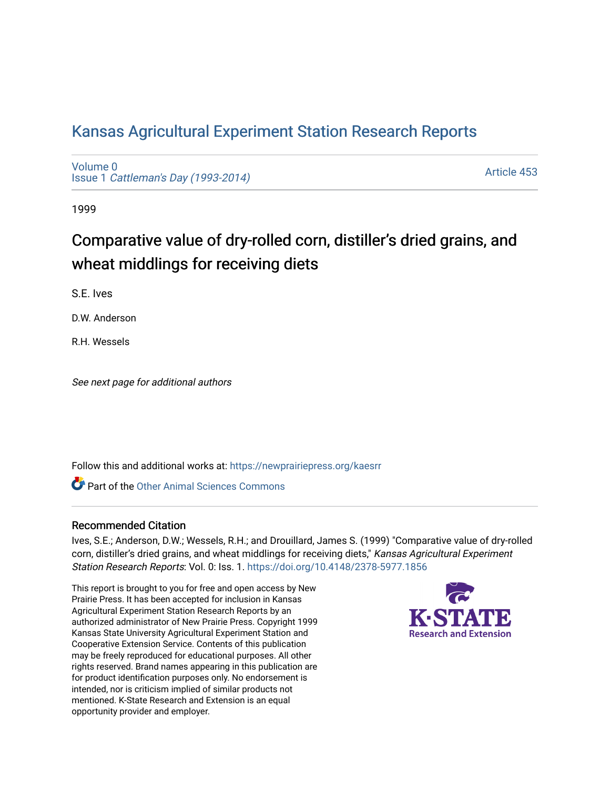## [Kansas Agricultural Experiment Station Research Reports](https://newprairiepress.org/kaesrr)

[Volume 0](https://newprairiepress.org/kaesrr/vol0) Issue 1 [Cattleman's Day \(1993-2014\)](https://newprairiepress.org/kaesrr/vol0/iss1) 

[Article 453](https://newprairiepress.org/kaesrr/vol0/iss1/453) 

1999

# Comparative value of dry-rolled corn, distiller's dried grains, and wheat middlings for receiving diets

S.E. Ives

D.W. Anderson

R.H. Wessels

See next page for additional authors

Follow this and additional works at: [https://newprairiepress.org/kaesrr](https://newprairiepress.org/kaesrr?utm_source=newprairiepress.org%2Fkaesrr%2Fvol0%2Fiss1%2F453&utm_medium=PDF&utm_campaign=PDFCoverPages) 

**C** Part of the [Other Animal Sciences Commons](http://network.bepress.com/hgg/discipline/82?utm_source=newprairiepress.org%2Fkaesrr%2Fvol0%2Fiss1%2F453&utm_medium=PDF&utm_campaign=PDFCoverPages)

#### Recommended Citation

Ives, S.E.; Anderson, D.W.; Wessels, R.H.; and Drouillard, James S. (1999) "Comparative value of dry-rolled corn, distiller's dried grains, and wheat middlings for receiving diets," Kansas Agricultural Experiment Station Research Reports: Vol. 0: Iss. 1.<https://doi.org/10.4148/2378-5977.1856>

This report is brought to you for free and open access by New Prairie Press. It has been accepted for inclusion in Kansas Agricultural Experiment Station Research Reports by an authorized administrator of New Prairie Press. Copyright 1999 Kansas State University Agricultural Experiment Station and Cooperative Extension Service. Contents of this publication may be freely reproduced for educational purposes. All other rights reserved. Brand names appearing in this publication are for product identification purposes only. No endorsement is intended, nor is criticism implied of similar products not mentioned. K-State Research and Extension is an equal opportunity provider and employer.

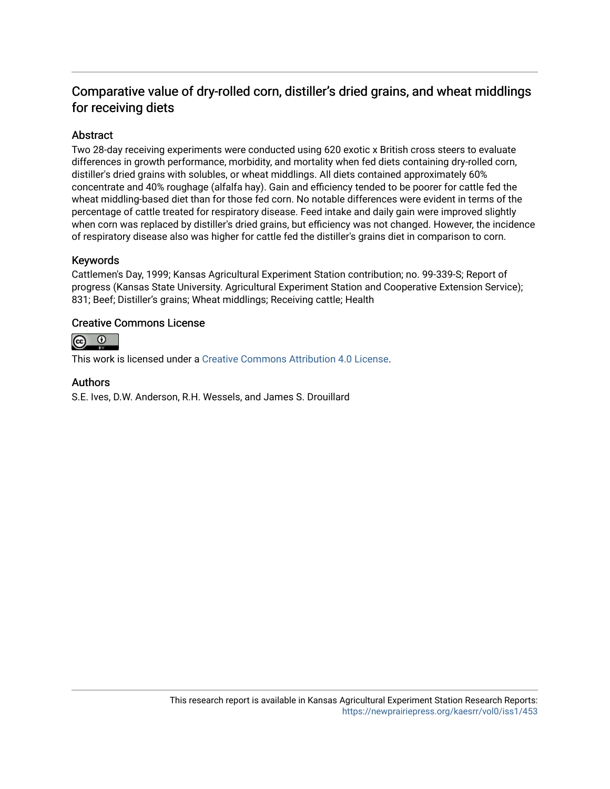### Comparative value of dry-rolled corn, distiller's dried grains, and wheat middlings for receiving diets

#### Abstract

Two 28-day receiving experiments were conducted using 620 exotic x British cross steers to evaluate differences in growth performance, morbidity, and mortality when fed diets containing dry-rolled corn, distiller's dried grains with solubles, or wheat middlings. All diets contained approximately 60% concentrate and 40% roughage (alfalfa hay). Gain and efficiency tended to be poorer for cattle fed the wheat middling-based diet than for those fed corn. No notable differences were evident in terms of the percentage of cattle treated for respiratory disease. Feed intake and daily gain were improved slightly when corn was replaced by distiller's dried grains, but efficiency was not changed. However, the incidence of respiratory disease also was higher for cattle fed the distiller's grains diet in comparison to corn.

#### Keywords

Cattlemen's Day, 1999; Kansas Agricultural Experiment Station contribution; no. 99-339-S; Report of progress (Kansas State University. Agricultural Experiment Station and Cooperative Extension Service); 831; Beef; Distiller's grains; Wheat middlings; Receiving cattle; Health

#### Creative Commons License



This work is licensed under a [Creative Commons Attribution 4.0 License](https://creativecommons.org/licenses/by/4.0/).

#### Authors

S.E. Ives, D.W. Anderson, R.H. Wessels, and James S. Drouillard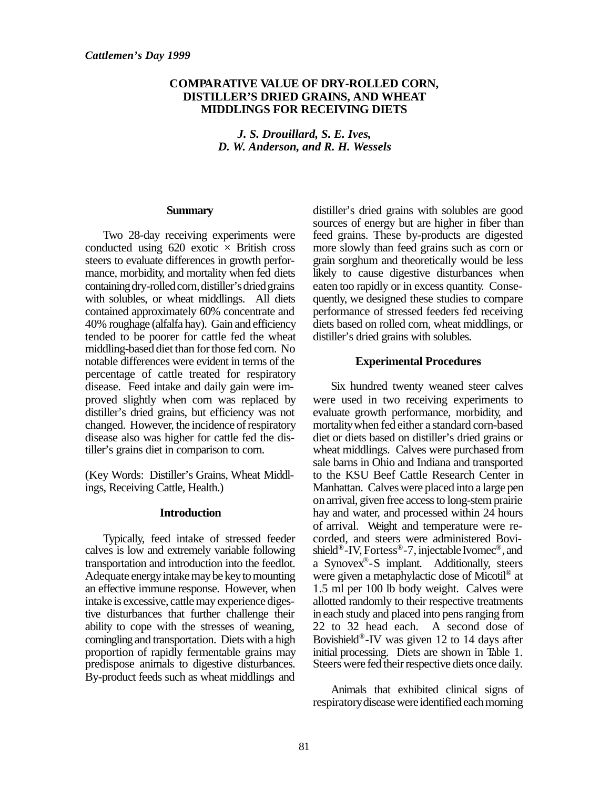#### **COMPARATIVE VALUE OF DRY-ROLLED CORN, DISTILLER'S DRIED GRAINS, AND WHEAT MIDDLINGS FOR RECEIVING DIETS**

*J. S. Drouillard, S. E. Ives, D. W. Anderson, and R. H. Wessels*

#### **Summary**

Two 28-day receiving experiments were conducted using  $620$  exotic  $\times$  British cross steers to evaluate differences in growth performance, morbidity, and mortality when fed diets containing dry-rolled corn, distiller's dried grains with solubles, or wheat middlings. All diets contained approximately 60% concentrate and 40% roughage (alfalfa hay). Gain and efficiency tended to be poorer for cattle fed the wheat middling-based diet than for those fed corn. No notable differences were evident in terms of the percentage of cattle treated for respiratory disease. Feed intake and daily gain were improved slightly when corn was replaced by distiller's dried grains, but efficiency was not changed. However, the incidence of respiratory disease also was higher for cattle fed the distiller's grains diet in comparison to corn.

(Key Words: Distiller's Grains, Wheat Middlings, Receiving Cattle, Health.)

#### **Introduction**

Typically, feed intake of stressed feeder calves is low and extremely variable following transportation and introduction into the feedlot. Adequate energy intake may be key to mounting an effective immune response. However, when intake is excessive, cattle may experience digestive disturbances that further challenge their ability to cope with the stresses of weaning, comingling and transportation. Diets with a high proportion of rapidly fermentable grains may predispose animals to digestive disturbances. By-product feeds such as wheat middlings and

distiller's dried grains with solubles are good sources of energy but are higher in fiber than feed grains. These by-products are digested more slowly than feed grains such as corn or grain sorghum and theoretically would be less likely to cause digestive disturbances when eaten too rapidly or in excess quantity. Consequently, we designed these studies to compare performance of stressed feeders fed receiving diets based on rolled corn, wheat middlings, or distiller's dried grains with solubles.

#### **Experimental Procedures**

Six hundred twenty weaned steer calves were used in two receiving experiments to evaluate growth performance, morbidity, and mortality when fed either a standard corn-based diet or diets based on distiller's dried grains or wheat middlings. Calves were purchased from sale barns in Ohio and Indiana and transported to the KSU Beef Cattle Research Center in Manhattan. Calves were placed into a large pen on arrival, given free access to long-stem prairie hay and water, and processed within 24 hours of arrival. Weight and temperature were recorded, and steers were administered Bovishield®-IV, Fortess®-7, injectable Ivomec®, and a Synovex® -S implant. Additionally, steers were given a metaphylactic dose of Micotil® at 1.5 ml per 100 lb body weight. Calves were allotted randomly to their respective treatments in each study and placed into pens ranging from 22 to 32 head each. A second dose of Bovishield® -IV was given 12 to 14 days after initial processing. Diets are shown in Table 1. Steers were fed their respective diets once daily.

Animals that exhibited clinical signs of respiratory disease were identified each morning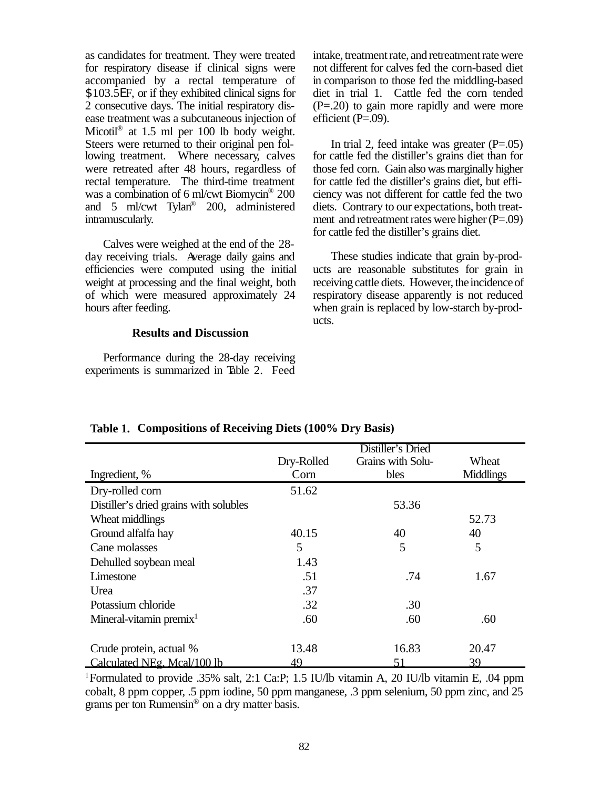as candidates for treatment. They were treated for respiratory disease if clinical signs were accompanied by a rectal temperature of \$103.5EF, or if they exhibited clinical signs for 2 consecutive days. The initial respiratory disease treatment was a subcutaneous injection of Micotil® at 1.5 ml per 100 lb body weight. Steers were returned to their original pen following treatment. Where necessary, calves were retreated after 48 hours, regardless of rectal temperature. The third-time treatment was a combination of 6 ml/cwt Biomycin® 200 and 5 ml/cwt Tylan® 200, administered intramuscularly.

Calves were weighed at the end of the 28 day receiving trials. Average daily gains and efficiencies were computed using the initial weight at processing and the final weight, both of which were measured approximately 24 hours after feeding.

#### **Results and Discussion**

Performance during the 28-day receiving experiments is summarized in Table 2. Feed intake, treatment rate, and retreatment rate were not different for calves fed the corn-based diet in comparison to those fed the middling-based diet in trial 1. Cattle fed the corn tended (P=.20) to gain more rapidly and were more efficient  $(P=.09)$ .

In trial 2, feed intake was greater  $(P=.05)$ for cattle fed the distiller's grains diet than for those fed corn. Gain also was marginally higher for cattle fed the distiller's grains diet, but efficiency was not different for cattle fed the two diets. Contrary to our expectations, both treatment and retreatment rates were higher  $(P=.09)$ for cattle fed the distiller's grains diet.

These studies indicate that grain by-products are reasonable substitutes for grain in receiving cattle diets. However, the incidence of respiratory disease apparently is not reduced when grain is replaced by low-starch by-products.

|                                        | Distiller's Dried |                   |                  |
|----------------------------------------|-------------------|-------------------|------------------|
|                                        | Dry-Rolled        | Grains with Solu- | Wheat            |
| Ingredient, %                          | Corn              | bles              | <b>Middlings</b> |
| Dry-rolled corn                        | 51.62             |                   |                  |
| Distiller's dried grains with solubles |                   | 53.36             |                  |
| Wheat middlings                        |                   |                   | 52.73            |
| Ground alfalfa hay                     | 40.15             | 40                | 40               |
| Cane molasses                          | 5                 | 5                 | 5                |
| Dehulled soybean meal                  | 1.43              |                   |                  |
| Limestone                              | .51               | .74               | 1.67             |
| Urea                                   | .37               |                   |                  |
| Potassium chloride                     | .32               | .30               |                  |
| Mineral-vitamin premix $1$             | .60               | .60               | .60              |
|                                        |                   |                   |                  |
| Crude protein, actual %                | 13.48             | 16.83             | 20.47            |
| Calculated NEg. Mcal/100 lb            | 49                | 51                | 39               |

#### **Table 1. Compositions of Receiving Diets (100% Dry Basis)**

<sup>1</sup>Formulated to provide .35% salt, 2:1 Ca:P; 1.5 IU/lb vitamin A, 20 IU/lb vitamin E, .04 ppm cobalt, 8 ppm copper, .5 ppm iodine, 50 ppm manganese, .3 ppm selenium, 50 ppm zinc, and 25 grams per ton Rumensin<sup>®</sup> on a dry matter basis.